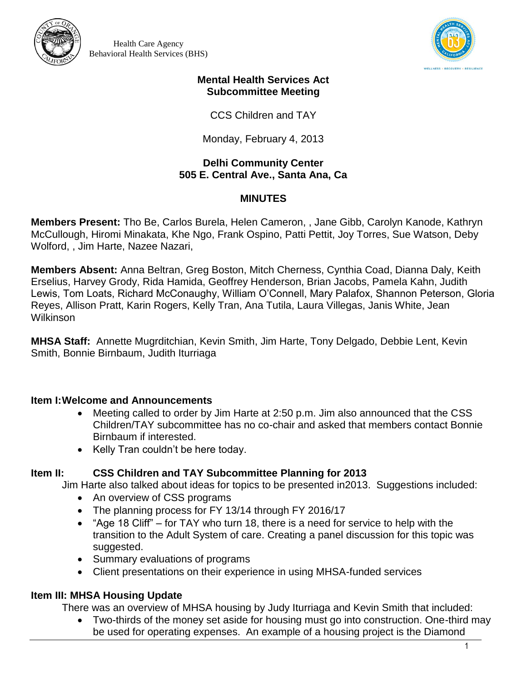



#### **Mental Health Services Act Subcommittee Meeting**

CCS Children and TAY

Monday, February 4, 2013

### **Delhi Community Center 505 E. Central Ave., Santa Ana, Ca**

# **MINUTES**

**Members Present:** Tho Be, Carlos Burela, Helen Cameron, , Jane Gibb, Carolyn Kanode, Kathryn McCullough, Hiromi Minakata, Khe Ngo, Frank Ospino, Patti Pettit, Joy Torres, Sue Watson, Deby Wolford, , Jim Harte, Nazee Nazari,

**Members Absent:** Anna Beltran, Greg Boston, Mitch Cherness, Cynthia Coad, Dianna Daly, Keith Erselius, Harvey Grody, Rida Hamida, Geoffrey Henderson, Brian Jacobs, Pamela Kahn, Judith Lewis, Tom Loats, Richard McConaughy, William O'Connell, Mary Palafox, Shannon Peterson, Gloria Reyes, Allison Pratt, Karin Rogers, Kelly Tran, Ana Tutila, Laura Villegas, Janis White, Jean **Wilkinson** 

**MHSA Staff:** Annette Mugrditchian, Kevin Smith, Jim Harte, Tony Delgado, Debbie Lent, Kevin Smith, Bonnie Birnbaum, Judith Iturriaga

# **Item I:Welcome and Announcements**

- Meeting called to order by Jim Harte at 2:50 p.m. Jim also announced that the CSS Children/TAY subcommittee has no co-chair and asked that members contact Bonnie Birnbaum if interested.
- Kelly Tran couldn't be here today.

# **Item II: CSS Children and TAY Subcommittee Planning for 2013**

Jim Harte also talked about ideas for topics to be presented in2013. Suggestions included:

- An overview of CSS programs
- The planning process for FY 13/14 through FY 2016/17
- "Age 18 Cliff" for TAY who turn 18, there is a need for service to help with the transition to the Adult System of care. Creating a panel discussion for this topic was suggested.
- Summary evaluations of programs
- Client presentations on their experience in using MHSA-funded services

# **Item III: MHSA Housing Update**

There was an overview of MHSA housing by Judy Iturriaga and Kevin Smith that included:

 Two-thirds of the money set aside for housing must go into construction. One-third may be used for operating expenses. An example of a housing project is the Diamond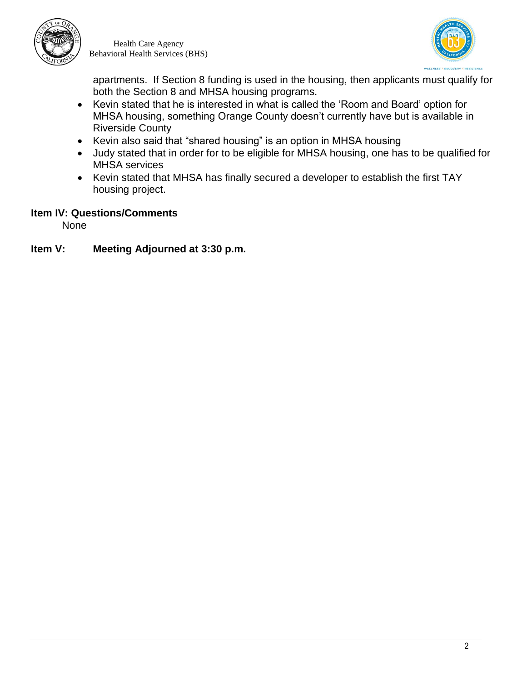



apartments. If Section 8 funding is used in the housing, then applicants must qualify for both the Section 8 and MHSA housing programs.

- Kevin stated that he is interested in what is called the 'Room and Board' option for MHSA housing, something Orange County doesn't currently have but is available in Riverside County
- Kevin also said that "shared housing" is an option in MHSA housing
- Judy stated that in order for to be eligible for MHSA housing, one has to be qualified for MHSA services
- Kevin stated that MHSA has finally secured a developer to establish the first TAY housing project.

### **Item IV: Questions/Comments**

None

### **Item V: Meeting Adjourned at 3:30 p.m.**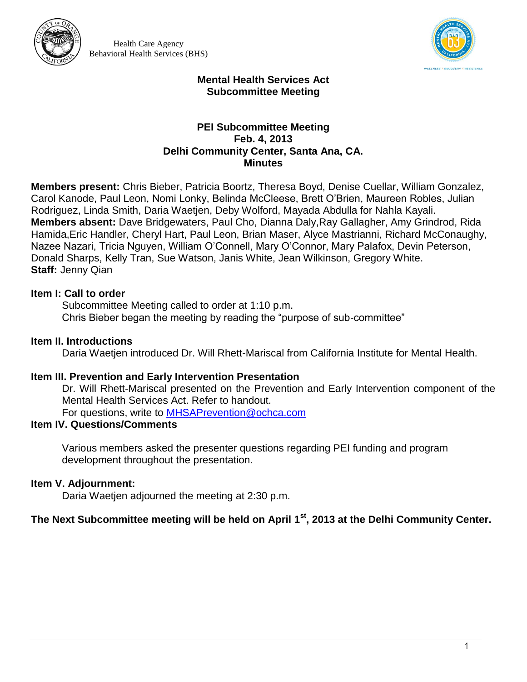



#### **Mental Health Services Act Subcommittee Meeting**

#### **PEI Subcommittee Meeting Feb. 4, 2013 Delhi Community Center, Santa Ana, CA. Minutes**

**Members present:** Chris Bieber, Patricia Boortz, Theresa Boyd, Denise Cuellar, William Gonzalez, Carol Kanode, Paul Leon, Nomi Lonky, Belinda McCleese, Brett O'Brien, Maureen Robles, Julian Rodriguez, Linda Smith, Daria Waetjen, Deby Wolford, Mayada Abdulla for Nahla Kayali. **Members absent:** Dave Bridgewaters, Paul Cho, Dianna Daly,Ray Gallagher, Amy Grindrod, Rida Hamida,Eric Handler, Cheryl Hart, Paul Leon, Brian Maser, Alyce Mastrianni, Richard McConaughy, Nazee Nazari, Tricia Nguyen, William O'Connell, Mary O'Connor, Mary Palafox, Devin Peterson, Donald Sharps, Kelly Tran, Sue Watson, Janis White, Jean Wilkinson, Gregory White. **Staff:** Jenny Qian

### **Item I: Call to order**

Subcommittee Meeting called to order at 1:10 p.m. Chris Bieber began the meeting by reading the "purpose of sub-committee"

### **Item II. Introductions**

Daria Waetien introduced Dr. Will Rhett-Mariscal from California Institute for Mental Health.

#### **Item III. Prevention and Early Intervention Presentation**

Dr. Will Rhett-Mariscal presented on the Prevention and Early Intervention component of the Mental Health Services Act. Refer to handout.

For questions, write to [MHSAPrevention@ochca.com](mailto:MHSAPrevention@ochca.com)

# **Item IV. Questions/Comments**

Various members asked the presenter questions regarding PEI funding and program development throughout the presentation.

# **Item V. Adjournment:**

Daria Waetjen adjourned the meeting at 2:30 p.m.

# **The Next Subcommittee meeting will be held on April 1st, 2013 at the Delhi Community Center.**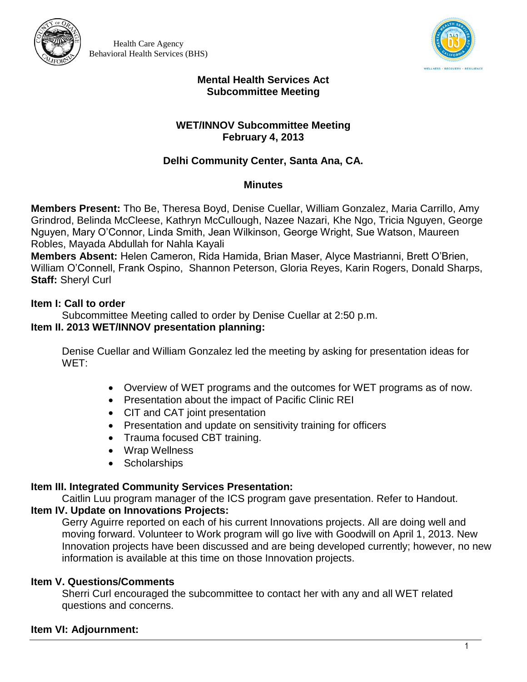



#### **Mental Health Services Act Subcommittee Meeting**

### **WET/INNOV Subcommittee Meeting February 4, 2013**

# **Delhi Community Center, Santa Ana, CA.**

#### **Minutes**

**Members Present:** Tho Be, Theresa Boyd, Denise Cuellar, William Gonzalez, Maria Carrillo, Amy Grindrod, Belinda McCleese, Kathryn McCullough, Nazee Nazari, Khe Ngo, Tricia Nguyen, George Nguyen, Mary O'Connor, Linda Smith, Jean Wilkinson, George Wright, Sue Watson, Maureen Robles, Mayada Abdullah for Nahla Kayali

**Members Absent:** Helen Cameron, Rida Hamida, Brian Maser, Alyce Mastrianni, Brett O'Brien, William O'Connell, Frank Ospino, Shannon Peterson, Gloria Reyes, Karin Rogers, Donald Sharps, **Staff:** Sheryl Curl

### **Item I: Call to order**

Subcommittee Meeting called to order by Denise Cuellar at 2:50 p.m. **Item II. 2013 WET/INNOV presentation planning:**

Denise Cuellar and William Gonzalez led the meeting by asking for presentation ideas for WET:

- Overview of WET programs and the outcomes for WET programs as of now.
- Presentation about the impact of Pacific Clinic REI
- CIT and CAT joint presentation
- Presentation and update on sensitivity training for officers
- Trauma focused CBT training.
- Wrap Wellness
- Scholarships

# **Item III. Integrated Community Services Presentation:**

Caitlin Luu program manager of the ICS program gave presentation. Refer to Handout. **Item IV. Update on Innovations Projects:**

Gerry Aguirre reported on each of his current Innovations projects. All are doing well and moving forward. Volunteer to Work program will go live with Goodwill on April 1, 2013. New Innovation projects have been discussed and are being developed currently; however, no new information is available at this time on those Innovation projects.

# **Item V. Questions/Comments**

Sherri Curl encouraged the subcommittee to contact her with any and all WET related questions and concerns.

# **Item VI: Adjournment:**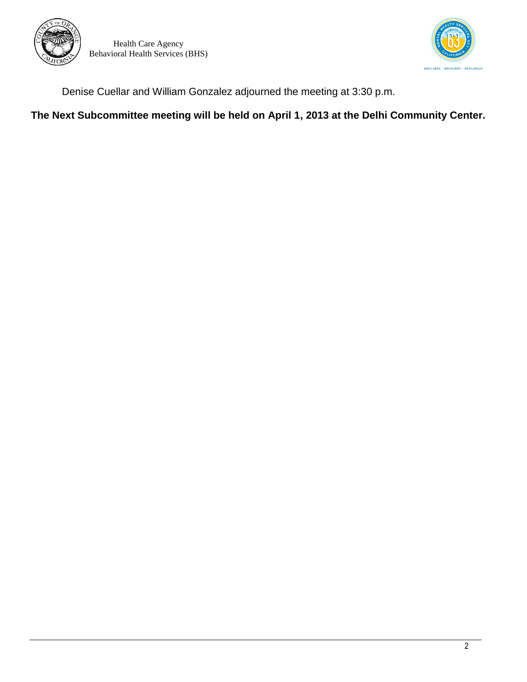



Denise Cuellar and William Gonzalez adjourned the meeting at 3:30 p.m.

**The Next Subcommittee meeting will be held on April 1, 2013 at the Delhi Community Center.**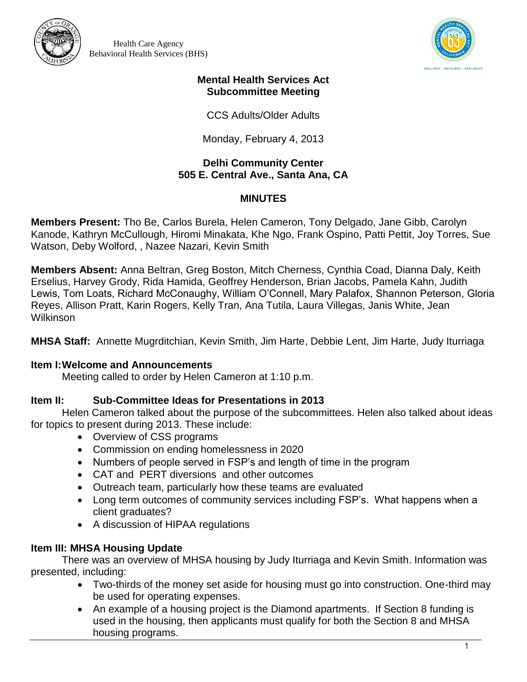



#### **Mental Health Services Act Subcommittee Meeting**

CCS Adults/Older Adults

Monday, February 4, 2013

### **Delhi Community Center 505 E. Central Ave., Santa Ana, CA**

# **MINUTES**

**Members Present:** Tho Be, Carlos Burela, Helen Cameron, Tony Delgado, Jane Gibb, Carolyn Kanode, Kathryn McCullough, Hiromi Minakata, Khe Ngo, Frank Ospino, Patti Pettit, Joy Torres, Sue Watson, Deby Wolford, , Nazee Nazari, Kevin Smith

**Members Absent:** Anna Beltran, Greg Boston, Mitch Cherness, Cynthia Coad, Dianna Daly, Keith Erselius, Harvey Grody, Rida Hamida, Geoffrey Henderson, Brian Jacobs, Pamela Kahn, Judith Lewis, Tom Loats, Richard McConaughy, William O'Connell, Mary Palafox, Shannon Peterson, Gloria Reyes, Allison Pratt, Karin Rogers, Kelly Tran, Ana Tutila, Laura Villegas, Janis White, Jean **Wilkinson** 

**MHSA Staff:** Annette Mugrditchian, Kevin Smith, Jim Harte, Debbie Lent, Jim Harte, Judy Iturriaga

# **Item I:Welcome and Announcements**

Meeting called to order by Helen Cameron at 1:10 p.m.

# **Item II: Sub-Committee Ideas for Presentations in 2013**

Helen Cameron talked about the purpose of the subcommittees. Helen also talked about ideas for topics to present during 2013. These include:

- Overview of CSS programs
- Commission on ending homelessness in 2020
- Numbers of people served in FSP's and length of time in the program
- CAT and PERT diversions and other outcomes
- Outreach team, particularly how these teams are evaluated
- Long term outcomes of community services including FSP's. What happens when a client graduates?
- A discussion of HIPAA regulations

# **Item III: MHSA Housing Update**

There was an overview of MHSA housing by Judy Iturriaga and Kevin Smith. Information was presented, including:

- Two-thirds of the money set aside for housing must go into construction. One-third may be used for operating expenses.
- An example of a housing project is the Diamond apartments. If Section 8 funding is used in the housing, then applicants must qualify for both the Section 8 and MHSA housing programs.